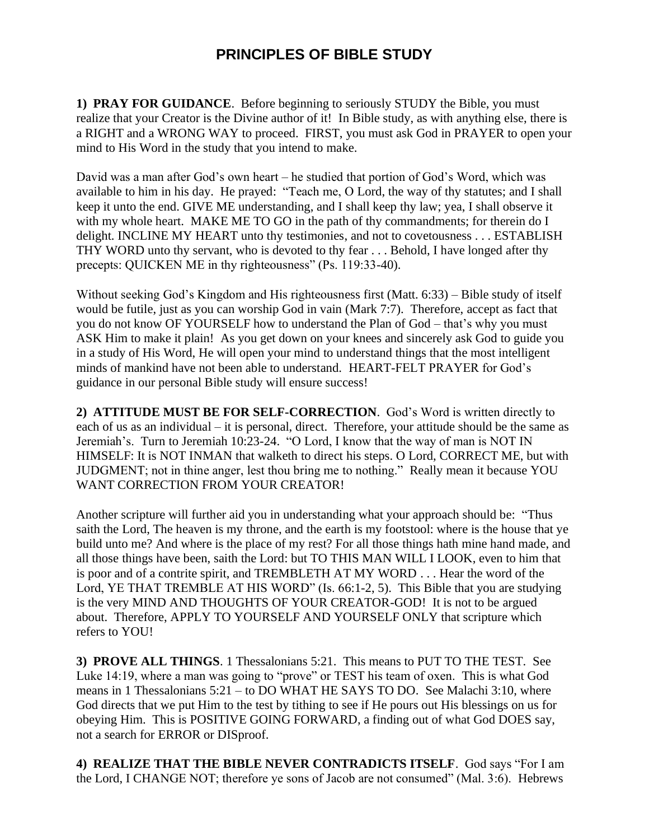## **PRINCIPLES OF BIBLE STUDY**

**1) PRAY FOR GUIDANCE**. Before beginning to seriously STUDY the Bible, you must realize that your Creator is the Divine author of it! In Bible study, as with anything else, there is a RIGHT and a WRONG WAY to proceed. FIRST, you must ask God in PRAYER to open your mind to His Word in the study that you intend to make.

David was a man after God's own heart – he studied that portion of God's Word, which was available to him in his day. He prayed: "Teach me, O Lord, the way of thy statutes; and I shall keep it unto the end. GIVE ME understanding, and I shall keep thy law; yea, I shall observe it with my whole heart. MAKE ME TO GO in the path of thy commandments; for therein do I delight. INCLINE MY HEART unto thy testimonies, and not to covetousness . . . ESTABLISH THY WORD unto thy servant, who is devoted to thy fear . . . Behold, I have longed after thy precepts: QUICKEN ME in thy righteousness" (Ps. 119:33-40).

Without seeking God's Kingdom and His righteousness first (Matt. 6:33) – Bible study of itself would be futile, just as you can worship God in vain (Mark 7:7). Therefore, accept as fact that you do not know OF YOURSELF how to understand the Plan of God – that's why you must ASK Him to make it plain! As you get down on your knees and sincerely ask God to guide you in a study of His Word, He will open your mind to understand things that the most intelligent minds of mankind have not been able to understand. HEART-FELT PRAYER for God's guidance in our personal Bible study will ensure success!

**2) ATTITUDE MUST BE FOR SELF-CORRECTION**. God's Word is written directly to each of us as an individual – it is personal, direct. Therefore, your attitude should be the same as Jeremiah's. Turn to Jeremiah 10:23-24. "O Lord, I know that the way of man is NOT IN HIMSELF: It is NOT INMAN that walketh to direct his steps. O Lord, CORRECT ME, but with JUDGMENT; not in thine anger, lest thou bring me to nothing." Really mean it because YOU WANT CORRECTION FROM YOUR CREATOR!

Another scripture will further aid you in understanding what your approach should be: "Thus saith the Lord, The heaven is my throne, and the earth is my footstool: where is the house that ye build unto me? And where is the place of my rest? For all those things hath mine hand made, and all those things have been, saith the Lord: but TO THIS MAN WILL I LOOK, even to him that is poor and of a contrite spirit, and TREMBLETH AT MY WORD . . . Hear the word of the Lord, YE THAT TREMBLE AT HIS WORD" (Is. 66:1-2, 5). This Bible that you are studying is the very MIND AND THOUGHTS OF YOUR CREATOR-GOD! It is not to be argued about. Therefore, APPLY TO YOURSELF AND YOURSELF ONLY that scripture which refers to YOU!

**3) PROVE ALL THINGS**. 1 Thessalonians 5:21. This means to PUT TO THE TEST. See Luke 14:19, where a man was going to "prove" or TEST his team of oxen. This is what God means in 1 Thessalonians 5:21 – to DO WHAT HE SAYS TO DO. See Malachi 3:10, where God directs that we put Him to the test by tithing to see if He pours out His blessings on us for obeying Him. This is POSITIVE GOING FORWARD, a finding out of what God DOES say, not a search for ERROR or DISproof.

**4) REALIZE THAT THE BIBLE NEVER CONTRADICTS ITSELF**. God says "For I am the Lord, I CHANGE NOT; therefore ye sons of Jacob are not consumed" (Mal. 3:6). Hebrews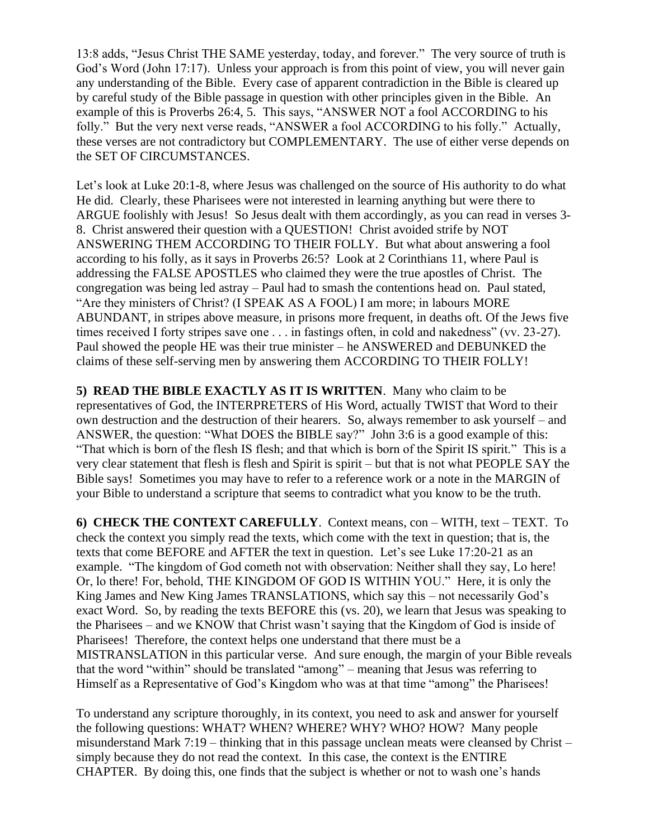13:8 adds, "Jesus Christ THE SAME yesterday, today, and forever." The very source of truth is God's Word (John 17:17). Unless your approach is from this point of view, you will never gain any understanding of the Bible. Every case of apparent contradiction in the Bible is cleared up by careful study of the Bible passage in question with other principles given in the Bible. An example of this is Proverbs 26:4, 5. This says, "ANSWER NOT a fool ACCORDING to his folly." But the very next verse reads, "ANSWER a fool ACCORDING to his folly." Actually, these verses are not contradictory but COMPLEMENTARY. The use of either verse depends on the SET OF CIRCUMSTANCES.

Let's look at Luke 20:1-8, where Jesus was challenged on the source of His authority to do what He did. Clearly, these Pharisees were not interested in learning anything but were there to ARGUE foolishly with Jesus! So Jesus dealt with them accordingly, as you can read in verses 3- 8. Christ answered their question with a QUESTION! Christ avoided strife by NOT ANSWERING THEM ACCORDING TO THEIR FOLLY. But what about answering a fool according to his folly, as it says in Proverbs 26:5? Look at 2 Corinthians 11, where Paul is addressing the FALSE APOSTLES who claimed they were the true apostles of Christ. The congregation was being led astray – Paul had to smash the contentions head on. Paul stated, "Are they ministers of Christ? (I SPEAK AS A FOOL) I am more; in labours MORE ABUNDANT, in stripes above measure, in prisons more frequent, in deaths oft. Of the Jews five times received I forty stripes save one . . . in fastings often, in cold and nakedness" (vv. 23-27). Paul showed the people HE was their true minister – he ANSWERED and DEBUNKED the claims of these self-serving men by answering them ACCORDING TO THEIR FOLLY!

**5) READ THE BIBLE EXACTLY AS IT IS WRITTEN**. Many who claim to be representatives of God, the INTERPRETERS of His Word, actually TWIST that Word to their own destruction and the destruction of their hearers. So, always remember to ask yourself – and ANSWER, the question: "What DOES the BIBLE say?" John 3:6 is a good example of this: "That which is born of the flesh IS flesh; and that which is born of the Spirit IS spirit." This is a very clear statement that flesh is flesh and Spirit is spirit – but that is not what PEOPLE SAY the Bible says! Sometimes you may have to refer to a reference work or a note in the MARGIN of your Bible to understand a scripture that seems to contradict what you know to be the truth.

**6) CHECK THE CONTEXT CAREFULLY**. Context means, con – WITH, text – TEXT. To check the context you simply read the texts, which come with the text in question; that is, the texts that come BEFORE and AFTER the text in question. Let's see Luke 17:20-21 as an example. "The kingdom of God cometh not with observation: Neither shall they say, Lo here! Or, lo there! For, behold, THE KINGDOM OF GOD IS WITHIN YOU." Here, it is only the King James and New King James TRANSLATIONS, which say this – not necessarily God's exact Word. So, by reading the texts BEFORE this (vs. 20), we learn that Jesus was speaking to the Pharisees – and we KNOW that Christ wasn't saying that the Kingdom of God is inside of Pharisees! Therefore, the context helps one understand that there must be a MISTRANSLATION in this particular verse. And sure enough, the margin of your Bible reveals that the word "within" should be translated "among" – meaning that Jesus was referring to Himself as a Representative of God's Kingdom who was at that time "among" the Pharisees!

To understand any scripture thoroughly, in its context, you need to ask and answer for yourself the following questions: WHAT? WHEN? WHERE? WHY? WHO? HOW? Many people misunderstand Mark 7:19 – thinking that in this passage unclean meats were cleansed by Christ – simply because they do not read the context. In this case, the context is the ENTIRE CHAPTER. By doing this, one finds that the subject is whether or not to wash one's hands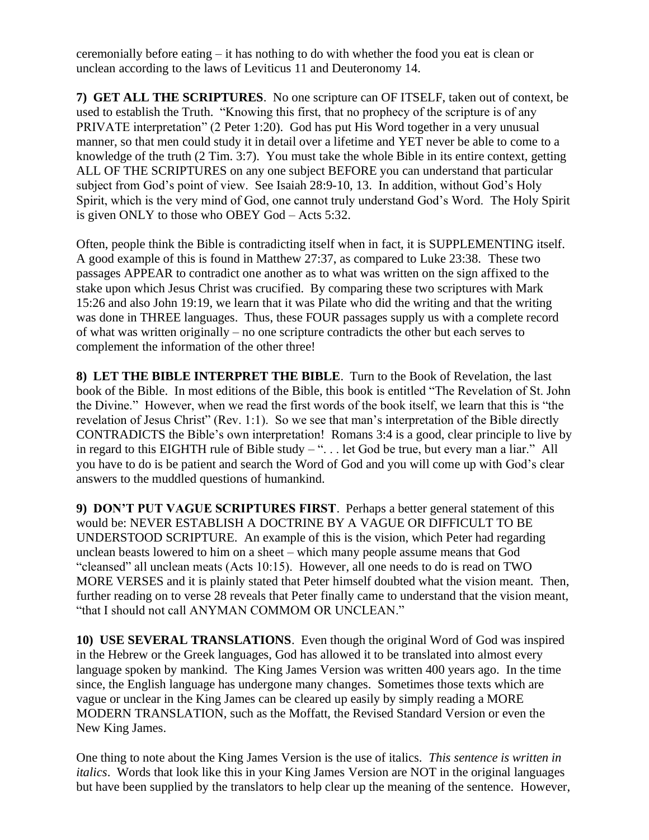ceremonially before eating – it has nothing to do with whether the food you eat is clean or unclean according to the laws of Leviticus 11 and Deuteronomy 14.

**7) GET ALL THE SCRIPTURES**. No one scripture can OF ITSELF, taken out of context, be used to establish the Truth. "Knowing this first, that no prophecy of the scripture is of any PRIVATE interpretation" (2 Peter 1:20). God has put His Word together in a very unusual manner, so that men could study it in detail over a lifetime and YET never be able to come to a knowledge of the truth (2 Tim. 3:7). You must take the whole Bible in its entire context, getting ALL OF THE SCRIPTURES on any one subject BEFORE you can understand that particular subject from God's point of view. See Isaiah 28:9-10, 13. In addition, without God's Holy Spirit, which is the very mind of God, one cannot truly understand God's Word. The Holy Spirit is given ONLY to those who OBEY God – Acts 5:32.

Often, people think the Bible is contradicting itself when in fact, it is SUPPLEMENTING itself. A good example of this is found in Matthew 27:37, as compared to Luke 23:38. These two passages APPEAR to contradict one another as to what was written on the sign affixed to the stake upon which Jesus Christ was crucified. By comparing these two scriptures with Mark 15:26 and also John 19:19, we learn that it was Pilate who did the writing and that the writing was done in THREE languages. Thus, these FOUR passages supply us with a complete record of what was written originally – no one scripture contradicts the other but each serves to complement the information of the other three!

**8) LET THE BIBLE INTERPRET THE BIBLE**. Turn to the Book of Revelation, the last book of the Bible. In most editions of the Bible, this book is entitled "The Revelation of St. John the Divine." However, when we read the first words of the book itself, we learn that this is "the revelation of Jesus Christ" (Rev. 1:1). So we see that man's interpretation of the Bible directly CONTRADICTS the Bible's own interpretation! Romans 3:4 is a good, clear principle to live by in regard to this EIGHTH rule of Bible study – ". . . let God be true, but every man a liar." All you have to do is be patient and search the Word of God and you will come up with God's clear answers to the muddled questions of humankind.

**9) DON'T PUT VAGUE SCRIPTURES FIRST**. Perhaps a better general statement of this would be: NEVER ESTABLISH A DOCTRINE BY A VAGUE OR DIFFICULT TO BE UNDERSTOOD SCRIPTURE. An example of this is the vision, which Peter had regarding unclean beasts lowered to him on a sheet – which many people assume means that God "cleansed" all unclean meats (Acts 10:15). However, all one needs to do is read on TWO MORE VERSES and it is plainly stated that Peter himself doubted what the vision meant. Then, further reading on to verse 28 reveals that Peter finally came to understand that the vision meant, "that I should not call ANYMAN COMMOM OR UNCLEAN."

**10) USE SEVERAL TRANSLATIONS**. Even though the original Word of God was inspired in the Hebrew or the Greek languages, God has allowed it to be translated into almost every language spoken by mankind. The King James Version was written 400 years ago. In the time since, the English language has undergone many changes. Sometimes those texts which are vague or unclear in the King James can be cleared up easily by simply reading a MORE MODERN TRANSLATION, such as the Moffatt, the Revised Standard Version or even the New King James.

One thing to note about the King James Version is the use of italics. *This sentence is written in italics*. Words that look like this in your King James Version are NOT in the original languages but have been supplied by the translators to help clear up the meaning of the sentence. However,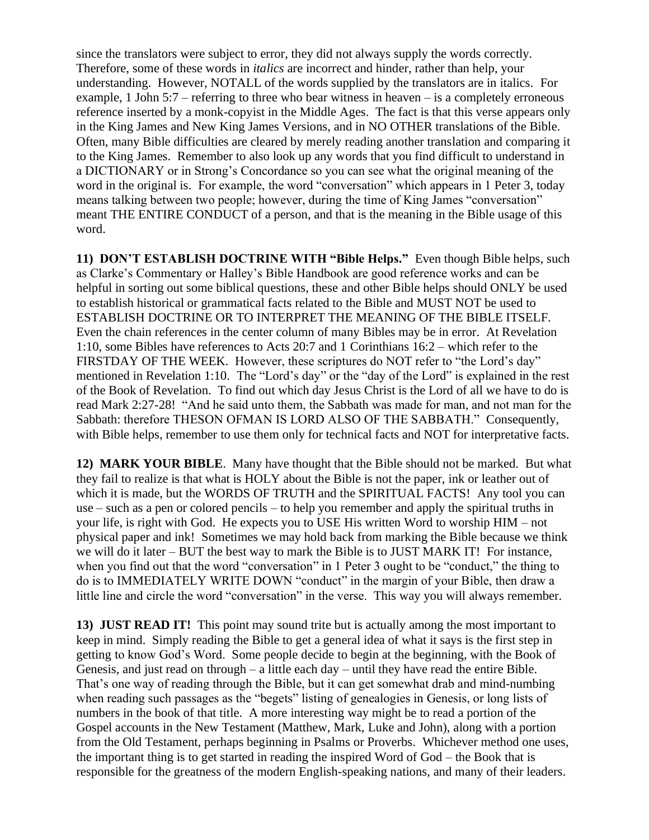since the translators were subject to error, they did not always supply the words correctly. Therefore, some of these words in *italics* are incorrect and hinder, rather than help, your understanding. However, NOTALL of the words supplied by the translators are in italics. For example, 1 John 5:7 – referring to three who bear witness in heaven – is a completely erroneous reference inserted by a monk-copyist in the Middle Ages. The fact is that this verse appears only in the King James and New King James Versions, and in NO OTHER translations of the Bible. Often, many Bible difficulties are cleared by merely reading another translation and comparing it to the King James. Remember to also look up any words that you find difficult to understand in a DICTIONARY or in Strong's Concordance so you can see what the original meaning of the word in the original is. For example, the word "conversation" which appears in 1 Peter 3, today means talking between two people; however, during the time of King James "conversation" meant THE ENTIRE CONDUCT of a person, and that is the meaning in the Bible usage of this word.

**11) DON'T ESTABLISH DOCTRINE WITH "Bible Helps."** Even though Bible helps, such as Clarke's Commentary or Halley's Bible Handbook are good reference works and can be helpful in sorting out some biblical questions, these and other Bible helps should ONLY be used to establish historical or grammatical facts related to the Bible and MUST NOT be used to ESTABLISH DOCTRINE OR TO INTERPRET THE MEANING OF THE BIBLE ITSELF. Even the chain references in the center column of many Bibles may be in error. At Revelation 1:10, some Bibles have references to Acts 20:7 and 1 Corinthians 16:2 – which refer to the FIRSTDAY OF THE WEEK. However, these scriptures do NOT refer to "the Lord's day" mentioned in Revelation 1:10. The "Lord's day" or the "day of the Lord" is explained in the rest of the Book of Revelation. To find out which day Jesus Christ is the Lord of all we have to do is read Mark 2:27-28! "And he said unto them, the Sabbath was made for man, and not man for the Sabbath: therefore THESON OFMAN IS LORD ALSO OF THE SABBATH." Consequently, with Bible helps, remember to use them only for technical facts and NOT for interpretative facts.

**12) MARK YOUR BIBLE**. Many have thought that the Bible should not be marked. But what they fail to realize is that what is HOLY about the Bible is not the paper, ink or leather out of which it is made, but the WORDS OF TRUTH and the SPIRITUAL FACTS! Any tool you can use – such as a pen or colored pencils – to help you remember and apply the spiritual truths in your life, is right with God. He expects you to USE His written Word to worship HIM – not physical paper and ink! Sometimes we may hold back from marking the Bible because we think we will do it later – BUT the best way to mark the Bible is to JUST MARK IT! For instance, when you find out that the word "conversation" in 1 Peter 3 ought to be "conduct," the thing to do is to IMMEDIATELY WRITE DOWN "conduct" in the margin of your Bible, then draw a little line and circle the word "conversation" in the verse. This way you will always remember.

**13) JUST READ IT!** This point may sound trite but is actually among the most important to keep in mind. Simply reading the Bible to get a general idea of what it says is the first step in getting to know God's Word. Some people decide to begin at the beginning, with the Book of Genesis, and just read on through – a little each day – until they have read the entire Bible. That's one way of reading through the Bible, but it can get somewhat drab and mind-numbing when reading such passages as the "begets" listing of genealogies in Genesis, or long lists of numbers in the book of that title. A more interesting way might be to read a portion of the Gospel accounts in the New Testament (Matthew, Mark, Luke and John), along with a portion from the Old Testament, perhaps beginning in Psalms or Proverbs. Whichever method one uses, the important thing is to get started in reading the inspired Word of God – the Book that is responsible for the greatness of the modern English-speaking nations, and many of their leaders.